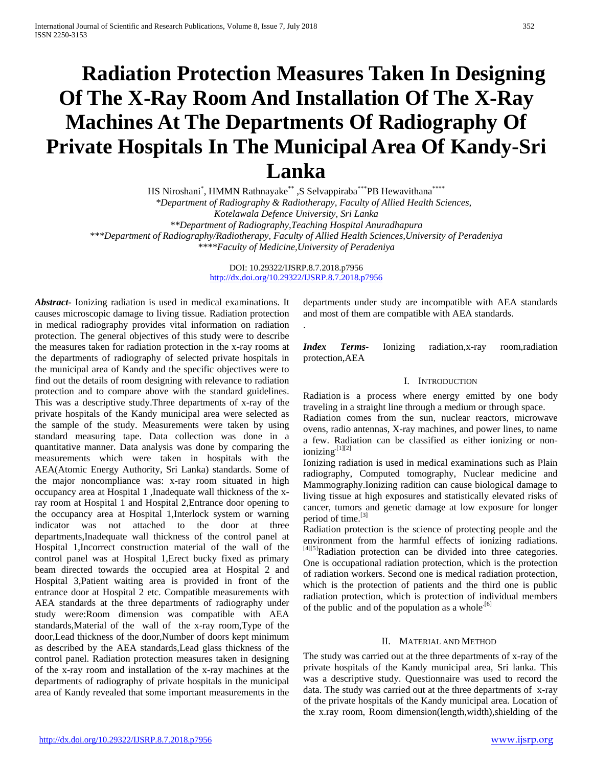# **Radiation Protection Measures Taken In Designing Of The X-Ray Room And Installation Of The X-Ray Machines At The Departments Of Radiography Of Private Hospitals In The Municipal Area Of Kandy-Sri Lanka**

HS Niroshani\*, HMMN Rathnayake\*\* ,S Selvappiraba\*\*\*PB Hewavithana\*\*\*\* *\*Department of Radiography & Radiotherapy, Faculty of Allied Health Sciences, Kotelawala Defence University, Sri Lanka \*\*Department of Radiography,Teaching Hospital Anuradhapura \*\*\*Department of Radiography/Radiotherapy, Faculty of Allied Health Sciences,University of Peradeniya \*\*\*\*Faculty of Medicine,University of Peradeniya*

> DOI: 10.29322/IJSRP.8.7.2018.p7956 <http://dx.doi.org/10.29322/IJSRP.8.7.2018.p7956>

> > .

*Abstract***-** Ionizing radiation is used in medical examinations. It causes microscopic damage to living tissue. Radiation protection in medical radiography provides vital information on radiation protection. The general objectives of this study were to describe the measures taken for radiation protection in the x-ray rooms at the departments of radiography of selected private hospitals in the municipal area of Kandy and the specific objectives were to find out the details of room designing with relevance to radiation protection and to compare above with the standard guidelines. This was a descriptive study.Three departments of x-ray of the private hospitals of the Kandy municipal area were selected as the sample of the study. Measurements were taken by using standard measuring tape. Data collection was done in a quantitative manner. Data analysis was done by comparing the measurements which were taken in hospitals with the AEA(Atomic Energy Authority, Sri Lanka) standards. Some of the major noncompliance was: x-ray room situated in high occupancy area at Hospital 1 ,Inadequate wall thickness of the xray room at Hospital 1 and Hospital 2,Entrance door opening to the occupancy area at Hospital 1,Interlock system or warning indicator was not attached to the door at three departments,Inadequate wall thickness of the control panel at Hospital 1,Incorrect construction material of the wall of the control panel was at Hospital 1,Erect bucky fixed as primary beam directed towards the occupied area at Hospital 2 and Hospital 3,Patient waiting area is provided in front of the entrance door at Hospital 2 etc. Compatible measurements with AEA standards at the three departments of radiography under study were:Room dimension was compatible with AEA standards,Material of the wall of the x-ray room,Type of the door,Lead thickness of the door,Number of doors kept minimum as described by the AEA standards,Lead glass thickness of the control panel. Radiation protection measures taken in designing of the x-ray room and installation of the x-ray machines at the departments of radiography of private hospitals in the municipal area of Kandy revealed that some important measurements in the

departments under study are incompatible with AEA standards and most of them are compatible with AEA standards.

*Index Terms*- Ionizing radiation,x-ray room,radiation protection,AEA

#### I. INTRODUCTION

Radiation is a process where energy emitted by one body traveling in a straight line through a medium or through space.

Radiation comes from the sun, nuclear reactors, microwave ovens, radio antennas, X-ray machines, and power lines, to name a few. Radiation can be classified as either ionizing or non $ionizing$ <sup>[1][2]</sup>

Ionizing radiation is used in medical examinations such as Plain radiography, Computed tomography, Nuclear medicine and Mammography.Ionizing radition can cause biological damage to living tissue at high exposures and statistically elevated risks of cancer, tumors and genetic damage at low exposure for longer period of time. $[3]$ 

Radiation protection is the science of protecting people and the environment from the harmful effects of ionizing radiations. [4][5]Radiation protection can be divided into three categories. One is occupational radiation protection, which is the protection of radiation workers. Second one is medical radiation protection, which is the protection of patients and the third one is public radiation protection, which is protection of individual members of the public and of the population as a whole.<sup>[6]</sup>

#### II. MATERIAL AND METHOD

The study was carried out at the three departments of x-ray of the private hospitals of the Kandy municipal area, Sri lanka. This was a descriptive study. Questionnaire was used to record the data. The study was carried out at the three departments of x-ray of the private hospitals of the Kandy municipal area. Location of the x.ray room, Room dimension(length,width),shielding of the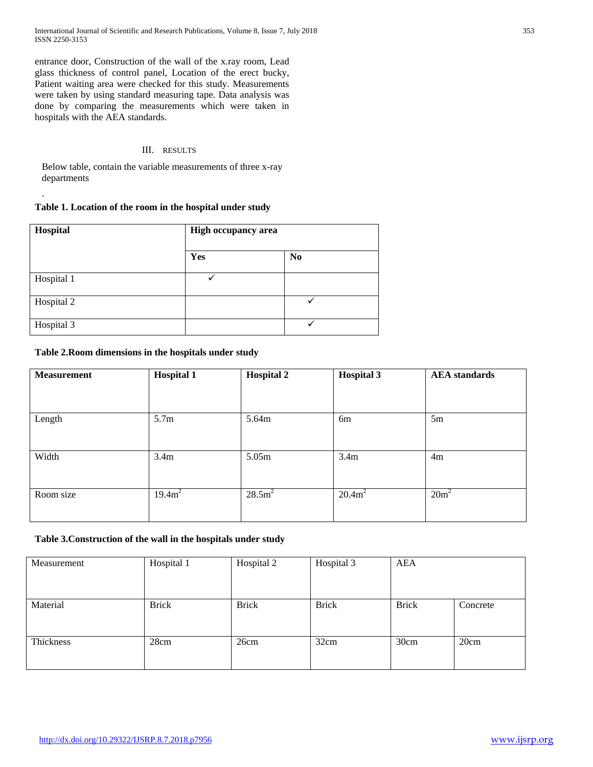International Journal of Scientific and Research Publications, Volume 8, Issue 7, July 2018 353 ISSN 2250-3153

entrance door, Construction of the wall of the x.ray room, Lead glass thickness of control panel, Location of the erect bucky, Patient waiting area were checked for this study. Measurements were taken by using standard measuring tape. Data analysis was done by comparing the measurements which were taken in hospitals with the AEA standards.

## III. RESULTS

Below table, contain the variable measurements of three x-ray departments

# **Table 1. Location of the room in the hospital under study**

.

| Hospital   | <b>High occupancy area</b> |                |  |
|------------|----------------------------|----------------|--|
|            | Yes                        | N <sub>0</sub> |  |
| Hospital 1 | v                          |                |  |
| Hospital 2 |                            |                |  |
| Hospital 3 |                            |                |  |

# **Table 2.Room dimensions in the hospitals under study**

| <b>Measurement</b> | <b>Hospital 1</b> | <b>Hospital 2</b> | <b>Hospital 3</b> | <b>AEA</b> standards |
|--------------------|-------------------|-------------------|-------------------|----------------------|
|                    |                   |                   |                   |                      |
| Length             | 5.7 <sub>m</sub>  | 5.64m             | 6m                | 5m                   |
| Width              | 3.4 <sub>m</sub>  | 5.05m             | 3.4 <sub>m</sub>  | 4m                   |
| Room size          | $19.4m^2$         | $28.5m^2$         | $20.4m^2$         | $20m^2$              |

# **Table 3.Construction of the wall in the hospitals under study**

| Measurement | Hospital 1   | Hospital 2   | Hospital 3   | AEA          |          |
|-------------|--------------|--------------|--------------|--------------|----------|
|             |              |              |              |              |          |
| Material    | <b>Brick</b> | <b>Brick</b> | <b>Brick</b> | <b>Brick</b> | Concrete |
|             |              |              |              |              |          |
| Thickness   | 28cm         | 26cm         | 32cm         | 30cm         | 20cm     |
|             |              |              |              |              |          |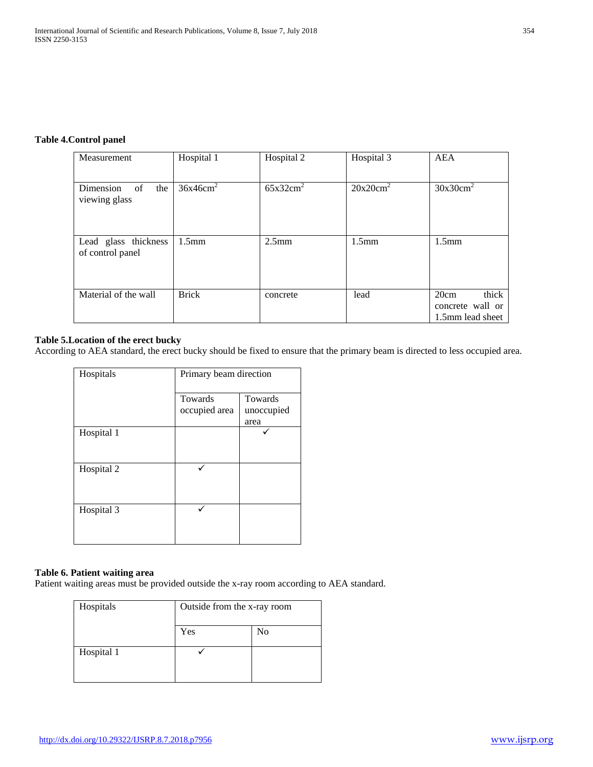# **Table 4.Control panel**

| Measurement                              | Hospital 1           | Hospital 2           | Hospital 3           | AEA                                                   |
|------------------------------------------|----------------------|----------------------|----------------------|-------------------------------------------------------|
| Dimension<br>the<br>of<br>viewing glass  | 36x46cm <sup>2</sup> | 65x32cm <sup>2</sup> | 20x20cm <sup>2</sup> | 30x30cm <sup>2</sup>                                  |
| Lead glass thickness<br>of control panel | $1.5$ mm             | 2.5 <sub>mm</sub>    | $1.5$ mm             | $1.5$ mm                                              |
| Material of the wall                     | <b>Brick</b>         | concrete             | lead                 | thick<br>20cm<br>concrete wall or<br>1.5mm lead sheet |

# **Table 5.Location of the erect bucky**

According to AEA standard, the erect bucky should be fixed to ensure that the primary beam is directed to less occupied area.

| Hospitals  | Primary beam direction |            |  |
|------------|------------------------|------------|--|
|            | Towards                | Towards    |  |
|            | occupied area          | unoccupied |  |
|            |                        | area       |  |
| Hospital 1 |                        |            |  |
| Hospital 2 |                        |            |  |
| Hospital 3 |                        |            |  |

## **Table 6. Patient waiting area**

Patient waiting areas must be provided outside the x-ray room according to AEA standard.

| Hospitals  | Outside from the x-ray room |                |
|------------|-----------------------------|----------------|
|            | Yes                         | N <sub>0</sub> |
| Hospital 1 |                             |                |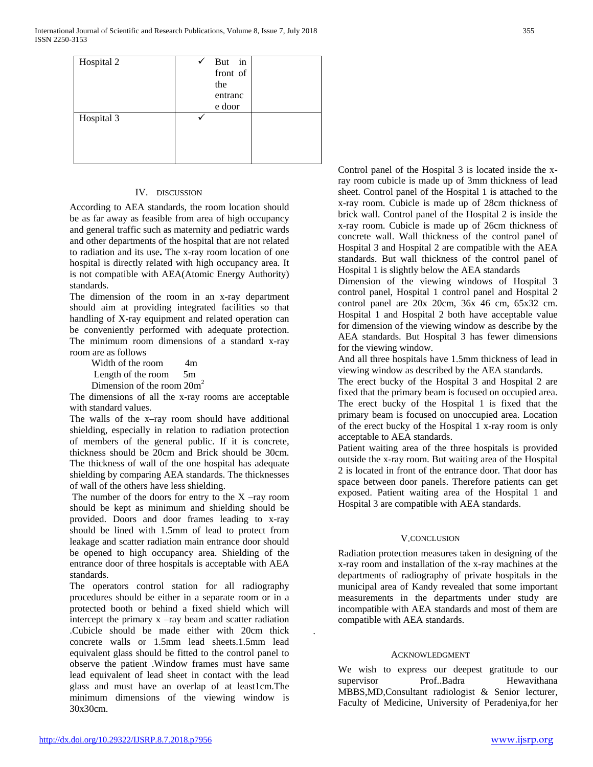| Hospital 2 | But in<br>front of<br>the<br>entranc<br>e door |  |
|------------|------------------------------------------------|--|
| Hospital 3 |                                                |  |

## IV. DISCUSSION

According to AEA standards, the room location should be as far away as feasible from area of high occupancy and general traffic such as maternity and pediatric wards and other departments of the hospital that are not related to radiation and its use**.** The x-ray room location of one hospital is directly related with high occupancy area. It is not compatible with AEA(Atomic Energy Authority) standards.

The dimension of the room in an x-ray department should aim at providing integrated facilities so that handling of X-ray equipment and related operation can be conveniently performed with adequate protection. The minimum room dimensions of a standard x-ray room are as follows

Width of the room 4m Length of the room 5m Dimension of the room  $20m^2$ 

The dimensions of all the x-ray rooms are acceptable with standard values.

The walls of the x–ray room should have additional shielding, especially in relation to radiation protection of members of the general public. If it is concrete, thickness should be 20cm and Brick should be 30cm. The thickness of wall of the one hospital has adequate shielding by comparing AEA standards. The thicknesses of wall of the others have less shielding.

The number of the doors for entry to the  $X$  –ray room should be kept as minimum and shielding should be provided. Doors and door frames leading to x-ray should be lined with 1.5mm of lead to protect from leakage and scatter radiation main entrance door should be opened to high occupancy area. Shielding of the entrance door of three hospitals is acceptable with AEA standards.

The operators control station for all radiography procedures should be either in a separate room or in a protected booth or behind a fixed shield which will intercept the primary x –ray beam and scatter radiation .Cubicle should be made either with 20cm thick concrete walls or 1.5mm lead sheets.1.5mm lead equivalent glass should be fitted to the control panel to observe the patient .Window frames must have same lead equivalent of lead sheet in contact with the lead glass and must have an overlap of at least1cm.The minimum dimensions of the viewing window is 30x30cm.

Control panel of the Hospital 3 is located inside the xray room cubicle is made up of 3mm thickness of lead sheet. Control panel of the Hospital 1 is attached to the x-ray room. Cubicle is made up of 28cm thickness of brick wall. Control panel of the Hospital 2 is inside the x-ray room. Cubicle is made up of 26cm thickness of concrete wall. Wall thickness of the control panel of Hospital 3 and Hospital 2 are compatible with the AEA standards. But wall thickness of the control panel of Hospital 1 is slightly below the AEA standards

Dimension of the viewing windows of Hospital 3 control panel, Hospital 1 control panel and Hospital 2 control panel are 20x 20cm, 36x 46 cm, 65x32 cm. Hospital 1 and Hospital 2 both have acceptable value for dimension of the viewing window as describe by the AEA standards. But Hospital 3 has fewer dimensions for the viewing window.

And all three hospitals have 1.5mm thickness of lead in viewing window as described by the AEA standards.

The erect bucky of the Hospital 3 and Hospital 2 are fixed that the primary beam is focused on occupied area. The erect bucky of the Hospital 1 is fixed that the primary beam is focused on unoccupied area. Location of the erect bucky of the Hospital 1 x-ray room is only acceptable to AEA standards.

Patient waiting area of the three hospitals is provided outside the x-ray room. But waiting area of the Hospital 2 is located in front of the entrance door. That door has space between door panels. Therefore patients can get exposed. Patient waiting area of the Hospital 1 and Hospital 3 are compatible with AEA standards.

#### V.CONCLUSION

Radiation protection measures taken in designing of the x-ray room and installation of the x-ray machines at the departments of radiography of private hospitals in the municipal area of Kandy revealed that some important measurements in the departments under study are incompatible with AEA standards and most of them are compatible with AEA standards.

#### ACKNOWLEDGMENT

.

We wish to express our deepest gratitude to our supervisor Prof..Badra Hewavithana MBBS,MD,Consultant radiologist & Senior lecturer, Faculty of Medicine, University of Peradeniya,for her